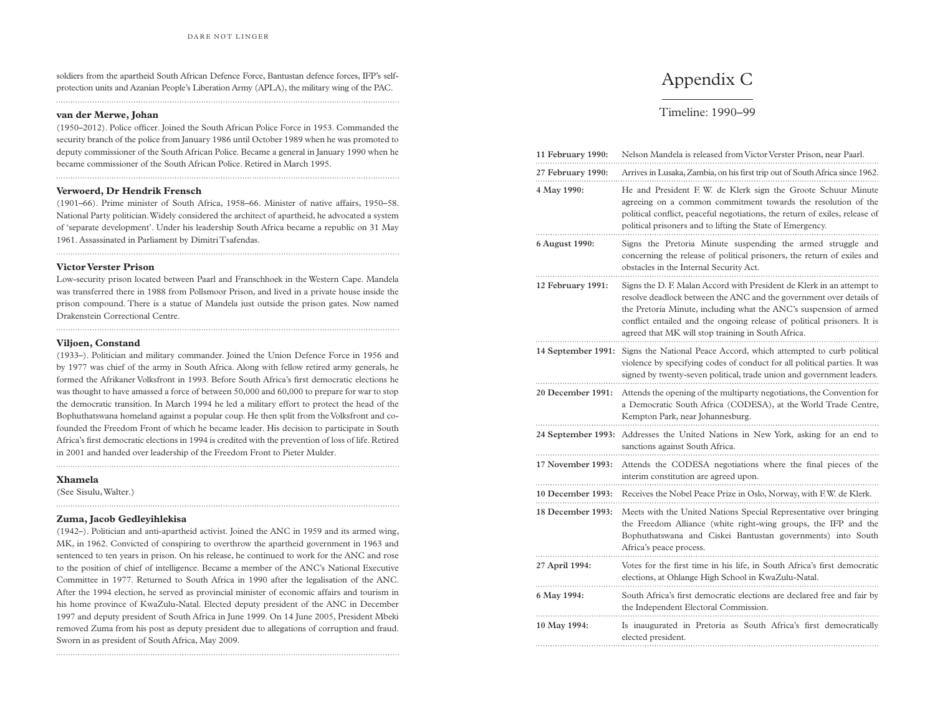## Appendix C

## Timeline: 1990–99

| 11 February 1990:                      | Nelson Mandela is released from Victor Verster Prison, near Paarl.                                                                                                                                                                                                                                                                                 |
|----------------------------------------|----------------------------------------------------------------------------------------------------------------------------------------------------------------------------------------------------------------------------------------------------------------------------------------------------------------------------------------------------|
| 27 February 1990:                      | Arrives in Lusaka, Zambia, on his first trip out of South Africa since 1962.                                                                                                                                                                                                                                                                       |
| 4 May 1990:                            | He and President F. W. de Klerk sign the Groote Schuur Minute<br>agreeing on a common commitment towards the resolution of the<br>political conflict, peaceful negotiations, the return of exiles, release of<br>political prisoners and to lifting the State of Emergency.                                                                        |
| 6 August 1990:                         | Signs the Pretoria Minute suspending the armed struggle and<br>concerning the release of political prisoners, the return of exiles and<br>obstacles in the Internal Security Act.                                                                                                                                                                  |
| 12 February 1991:                      | Signs the D. F. Malan Accord with President de Klerk in an attempt to<br>resolve deadlock between the ANC and the government over details of<br>the Pretoria Minute, including what the ANC's suspension of armed<br>conflict entailed and the ongoing release of political prisoners. It is<br>agreed that MK will stop training in South Africa. |
| 14 September 1991:                     | Signs the National Peace Accord, which attempted to curb political<br>violence by specifying codes of conduct for all political parties. It was<br>signed by twenty-seven political, trade union and government leaders.                                                                                                                           |
| 20 December 1991:                      | Attends the opening of the multiparty negotiations, the Convention for<br>a Democratic South Africa (CODESA), at the World Trade Centre,<br>Kempton Park, near Johannesburg.                                                                                                                                                                       |
| 24 September 1993:                     | Addresses the United Nations in New York, asking for an end to<br>sanctions against South Africa.                                                                                                                                                                                                                                                  |
| 17 November 1993:<br>10 December 1993: | Attends the CODESA negotiations where the final pieces of the<br>interim constitution are agreed upon.<br>Receives the Nobel Peace Prize in Oslo, Norway, with F.W. de Klerk.                                                                                                                                                                      |
| 18 December 1993:                      | Meets with the United Nations Special Representative over bringing<br>the Freedom Alliance (white right-wing groups, the IFP and the<br>Bophuthatswana and Ciskei Bantustan governments) into South<br>Africa's peace process.                                                                                                                     |
| 27 April 1994:                         | Votes for the first time in his life, in South Africa's first democratic<br>elections, at Ohlange High School in KwaZulu-Natal.                                                                                                                                                                                                                    |
| 6 May 1994:                            | South Africa's first democratic elections are declared free and fair by<br>the Independent Electoral Commission.                                                                                                                                                                                                                                   |
| 10 May 1994:                           | Is inaugurated in Pretoria as South Africa's first democratically<br>elected president.                                                                                                                                                                                                                                                            |
|                                        |                                                                                                                                                                                                                                                                                                                                                    |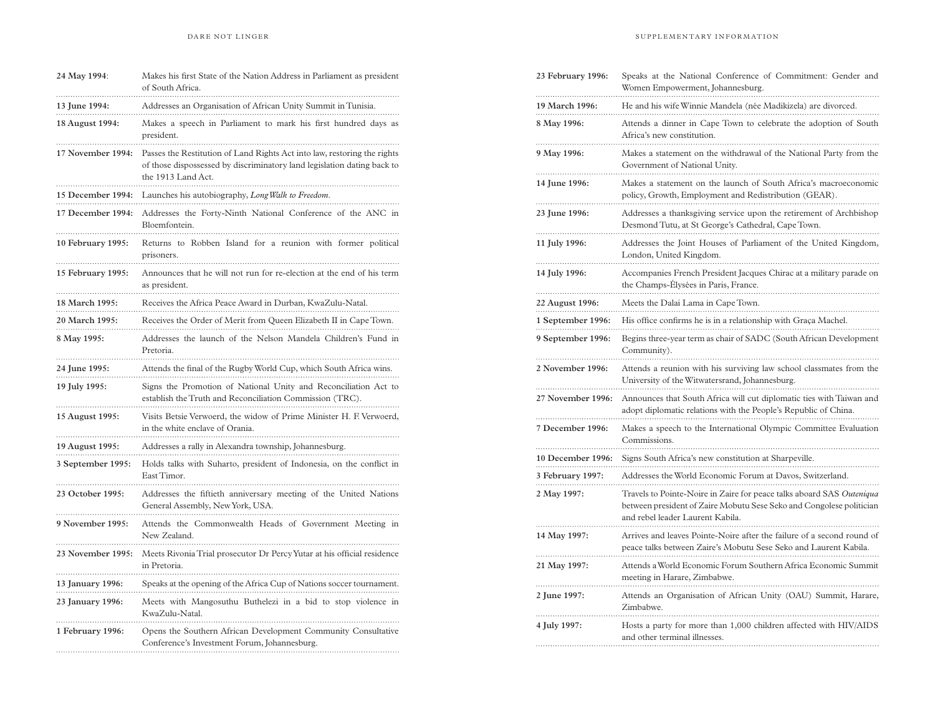| 24 May 1994:                         | Makes his first State of the Nation Address in Parliament as president<br>of South Africa.                                                               |
|--------------------------------------|----------------------------------------------------------------------------------------------------------------------------------------------------------|
| 13 June 1994:                        | Addresses an Organisation of African Unity Summit in Tunisia.                                                                                            |
| 18 August 1994:<br>17 November 1994: | Makes a speech in Parliament to mark his first hundred days as<br>president.<br>Passes the Restitution of Land Rights Act into law, restoring the rights |
|                                      | of those dispossessed by discriminatory land legislation dating back to<br>the 1913 Land Act.                                                            |
| 15 December 1994:                    | Launches his autobiography, Long Walk to Freedom.                                                                                                        |
| 17 December 1994:                    | Addresses the Forty-Ninth National Conference of the ANC in<br>Bloemfontein.                                                                             |
| 10 February 1995:                    | Returns to Robben Island for a reunion with former political<br>prisoners.                                                                               |
| 15 February 1995:                    | Announces that he will not run for re-election at the end of his term<br>as president.                                                                   |
| 18 March 1995:                       | Receives the Africa Peace Award in Durban, KwaZulu-Natal.                                                                                                |
| 20 March 1995:                       | Receives the Order of Merit from Queen Elizabeth II in Cape Town.                                                                                        |
| 8 May 1995:                          | Addresses the launch of the Nelson Mandela Children's Fund in<br>Pretoria.                                                                               |
| 24 June 1995:                        | Attends the final of the Rugby World Cup, which South Africa wins.                                                                                       |
| 19 July 1995:                        | Signs the Promotion of National Unity and Reconciliation Act to<br>establish the Truth and Reconciliation Commission (TRC).                              |
| 15 August 1995:                      | Visits Betsie Verwoerd, the widow of Prime Minister H. F. Verwoerd,<br>in the white enclave of Orania.                                                   |
| 19 August 1995:                      | Addresses a rally in Alexandra township, Johannesburg.                                                                                                   |
| 3 September 1995:                    | Holds talks with Suharto, president of Indonesia, on the conflict in<br>East Timor.                                                                      |
| 23 October 1995:                     | Addresses the fiftieth anniversary meeting of the United Nations<br>General Assembly, New York, USA.                                                     |
| 9 November 1995:                     | Attends the Commonwealth Heads of Government Meeting in<br>New Zealand.                                                                                  |
| 23 November 1995:                    | Meets Rivonia Trial prosecutor Dr Percy Yutar at his official residence<br>in Pretoria.                                                                  |
| 13 January 1996:                     | Speaks at the opening of the Africa Cup of Nations soccer tournament.                                                                                    |
| 23 January 1996:                     | Meets with Mangosuthu Buthelezi in a bid to stop violence in<br>KwaZulu-Natal.                                                                           |
| 1 February 1996:                     | Opens the Southern African Development Community Consultative<br>Conference's Investment Forum, Johannesburg.                                            |

| 23 February 1996: | Speaks at the National Conference of Commitment: Gender and<br>Women Empowerment, Johannesburg.                                                                                   |
|-------------------|-----------------------------------------------------------------------------------------------------------------------------------------------------------------------------------|
| 19 March 1996:    | He and his wife Winnie Mandela (née Madikizela) are divorced.                                                                                                                     |
| 8 May 1996:       | Attends a dinner in Cape Town to celebrate the adoption of South<br>Africa's new constitution.                                                                                    |
| 9 May 1996:       | Makes a statement on the withdrawal of the National Party from the<br>Government of National Unity.                                                                               |
| 14 June 1996:     | Makes a statement on the launch of South Africa's macroeconomic<br>policy, Growth, Employment and Redistribution (GEAR).                                                          |
| 23 June 1996:     | Addresses a thanksgiving service upon the retirement of Archbishop<br>Desmond Tutu, at St George's Cathedral, Cape Town.                                                          |
| 11 July 1996:     | Addresses the Joint Houses of Parliament of the United Kingdom,<br>London, United Kingdom.                                                                                        |
| 14 July 1996:     | Accompanies French President Jacques Chirac at a military parade on<br>the Champs-Elysées in Paris, France.                                                                       |
| 22 August 1996:   | Meets the Dalai Lama in Cape Town.                                                                                                                                                |
| 1 September 1996: | His office confirms he is in a relationship with Graça Machel.                                                                                                                    |
| 9 September 1996: | Begins three-year term as chair of SADC (South African Development<br>Community).                                                                                                 |
| 2 November 1996:  | Attends a reunion with his surviving law school classmates from the<br>University of the Witwatersrand, Johannesburg.                                                             |
| 27 November 1996: | Announces that South Africa will cut diplomatic ties with Taiwan and<br>adopt diplomatic relations with the People's Republic of China.                                           |
| 7 December 1996:  | Makes a speech to the International Olympic Committee Evaluation<br>Commissions.                                                                                                  |
| 10 December 1996: | Signs South Africa's new constitution at Sharpeville.                                                                                                                             |
| 3 February 1997:  | Addresses the World Economic Forum at Davos, Switzerland.                                                                                                                         |
| 2 May 1997:       | Travels to Pointe-Noire in Zaire for peace talks aboard SAS Outeniqua<br>between president of Zaire Mobutu Sese Seko and Congolese politician<br>and rebel leader Laurent Kabila. |
| 14 May 1997:      | Arrives and leaves Pointe-Noire after the failure of a second round of<br>peace talks between Zaire's Mobutu Sese Seko and Laurent Kabila.                                        |
| 21 May 1997:      | Attends a World Economic Forum Southern Africa Economic Summit<br>meeting in Harare, Zimbabwe.                                                                                    |
| 2 June 1997:      | Attends an Organisation of African Unity (OAU) Summit, Harare,<br>Zimbabwe.                                                                                                       |
| 4 July 1997:      | Hosts a party for more than 1,000 children affected with HIV/AIDS<br>and other terminal illnesses.                                                                                |